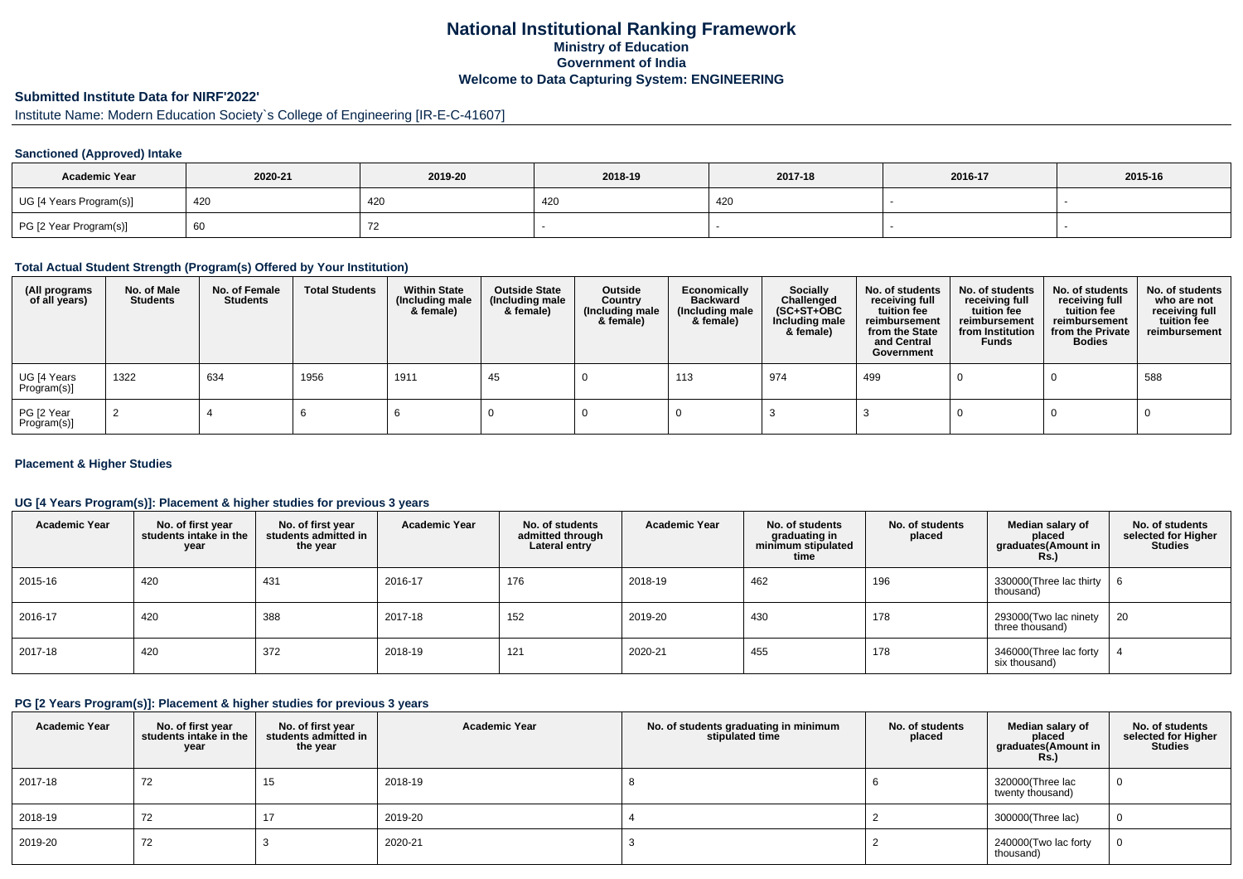## **National Institutional Ranking FrameworkMinistry of Education Government of IndiaWelcome to Data Capturing System: ENGINEERING**

# **Submitted Institute Data for NIRF'2022'**

# Institute Name: Modern Education Society`s College of Engineering [IR-E-C-41607]

## **Sanctioned (Approved) Intake**

| <b>Academic Year</b>    | 2020-21 | 2019-20 | 2018-19 | 2017-18 | 2016-17 | 2015-16 |
|-------------------------|---------|---------|---------|---------|---------|---------|
| UG [4 Years Program(s)] | 420     | 420     | 420     | 420     |         |         |
| PG [2 Year Program(s)]  | - 60    |         |         |         |         |         |

## **Total Actual Student Strength (Program(s) Offered by Your Institution)**

| (All programs<br>of all years) | No. of Male<br><b>Students</b> | No. of Female<br>Students | <b>Total Students</b> | <b>Within State</b><br>(Including male<br>& female) | <b>Outside State</b><br>(Including male<br>& female) | Outside<br>Country<br>(Including male<br>& female) | Economically<br>Backward<br>(Including male<br>& female) | <b>Socially</b><br>Challenged<br>$(SC+ST+OBC)$<br>Including male<br>& female) | No. of students<br>receiving full<br>tuition fee<br>reimbursement<br>from the State<br>and Central<br>Government | No. of students<br>receiving full<br>tuition fee<br>reimbursement<br>from Institution<br><b>Funds</b> | No. of students<br>receiving full<br>tuition fee<br>reimbursement<br>from the Private<br><b>Bodies</b> | No. of students<br>who are not<br>receiving full<br>tuition fee<br>reimbursement |
|--------------------------------|--------------------------------|---------------------------|-----------------------|-----------------------------------------------------|------------------------------------------------------|----------------------------------------------------|----------------------------------------------------------|-------------------------------------------------------------------------------|------------------------------------------------------------------------------------------------------------------|-------------------------------------------------------------------------------------------------------|--------------------------------------------------------------------------------------------------------|----------------------------------------------------------------------------------|
| UG [4 Years<br>Program(s)]     | 1322                           | 634                       | 1956                  | 1911                                                | 45                                                   |                                                    | 113                                                      | 974                                                                           | 499                                                                                                              |                                                                                                       |                                                                                                        | 588                                                                              |
| PG [2 Year<br>Program(s)]      |                                |                           |                       |                                                     |                                                      |                                                    |                                                          |                                                                               |                                                                                                                  |                                                                                                       |                                                                                                        |                                                                                  |

## **Placement & Higher Studies**

## **UG [4 Years Program(s)]: Placement & higher studies for previous 3 years**

| <b>Academic Year</b> | No. of first year<br>students intake in the<br>year | No. of first year<br>students admitted in<br>the year | <b>Academic Year</b> | No. of students<br>admitted through<br>Lateral entry | <b>Academic Year</b> | No. of students<br>graduating in<br>minimum stipulated<br>time | No. of students<br>placed | Median salary of<br>placed<br>graduates(Amount in<br>Rs.) | No. of students<br>selected for Higher<br><b>Studies</b> |
|----------------------|-----------------------------------------------------|-------------------------------------------------------|----------------------|------------------------------------------------------|----------------------|----------------------------------------------------------------|---------------------------|-----------------------------------------------------------|----------------------------------------------------------|
| 2015-16              | 420                                                 | 431                                                   | 2016-17              | 176                                                  | 2018-19              | 462                                                            | 196                       | 330000(Three lac thirty<br>thousand)                      | - 6                                                      |
| 2016-17              | 420                                                 | 388                                                   | 2017-18              | 152                                                  | 2019-20              | 430                                                            | 178                       | 293000(Two lac ninety<br>three thousand)                  | 20                                                       |
| 2017-18              | 420                                                 | 372                                                   | 2018-19              | 121                                                  | 2020-21              | 455                                                            | 178                       | 346000(Three lac forty<br>six thousand)                   |                                                          |

#### **PG [2 Years Program(s)]: Placement & higher studies for previous 3 years**

| <b>Academic Year</b> | No. of first year<br>students intake in the<br>year | No. of first year<br>students admitted in<br>the year | <b>Academic Year</b> | No. of students graduating in minimum<br>stipulated time | No. of students<br>placed | Median salary of<br>placed<br>graduates(Amount in<br><b>Rs.)</b> | No. of students<br>selected for Higher<br><b>Studies</b> |
|----------------------|-----------------------------------------------------|-------------------------------------------------------|----------------------|----------------------------------------------------------|---------------------------|------------------------------------------------------------------|----------------------------------------------------------|
| 2017-18              | 72                                                  | 15                                                    | 2018-19              |                                                          |                           | 320000(Three lac<br>twenty thousand)                             | $\cup$                                                   |
| 2018-19              | 72                                                  | 17                                                    | 2019-20              |                                                          |                           | 300000(Three lac)                                                | 0                                                        |
| 2019-20              | 72                                                  |                                                       | 2020-21              |                                                          |                           | 240000(Two lac forty<br>thousand)                                | 0                                                        |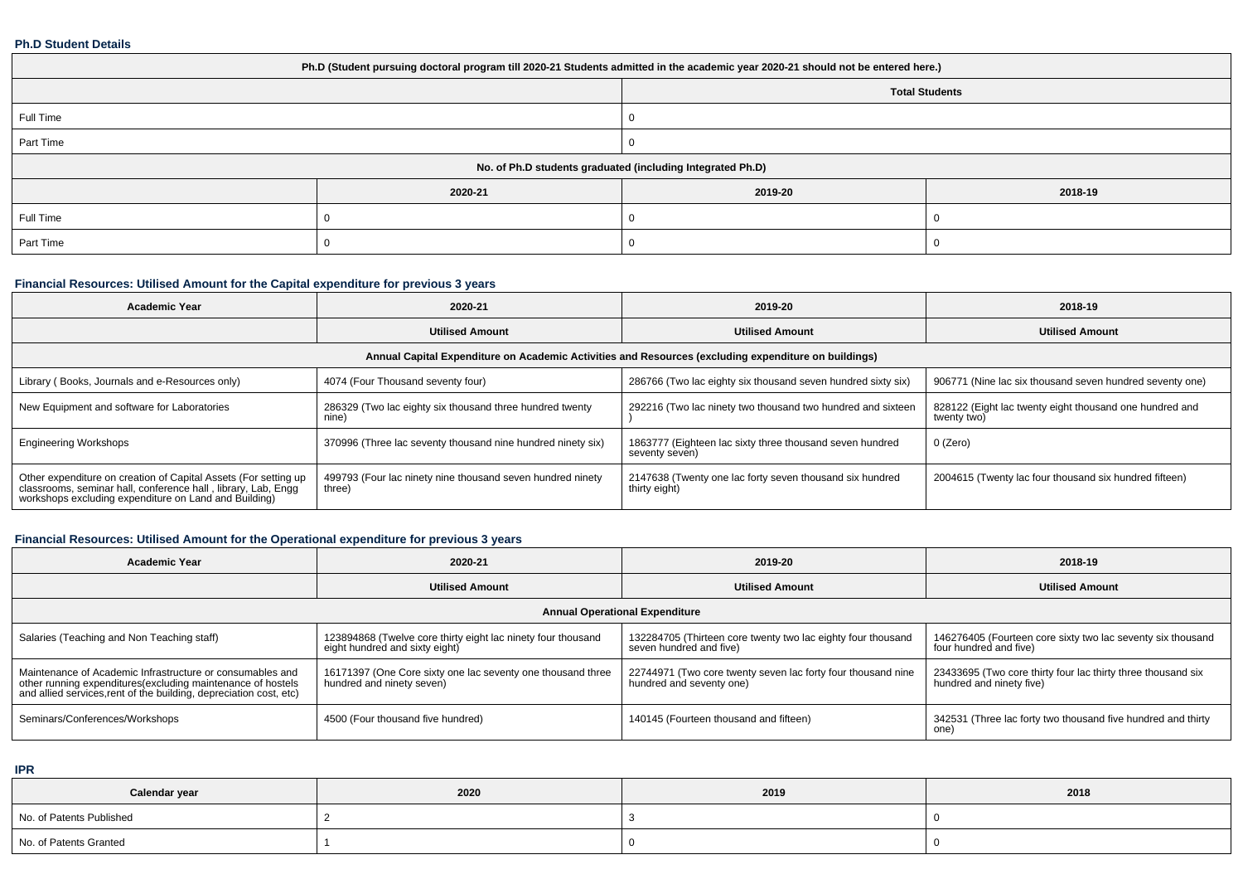#### **Ph.D Student Details**

| Ph.D (Student pursuing doctoral program till 2020-21 Students admitted in the academic year 2020-21 should not be entered here.) |         |                                                            |         |  |  |  |  |
|----------------------------------------------------------------------------------------------------------------------------------|---------|------------------------------------------------------------|---------|--|--|--|--|
| <b>Total Students</b>                                                                                                            |         |                                                            |         |  |  |  |  |
| Full Time                                                                                                                        |         |                                                            |         |  |  |  |  |
| Part Time                                                                                                                        |         |                                                            |         |  |  |  |  |
|                                                                                                                                  |         | No. of Ph.D students graduated (including Integrated Ph.D) |         |  |  |  |  |
|                                                                                                                                  | 2020-21 | 2019-20                                                    | 2018-19 |  |  |  |  |
| Full Time                                                                                                                        |         |                                                            |         |  |  |  |  |
| Part Time                                                                                                                        |         |                                                            |         |  |  |  |  |

## **Financial Resources: Utilised Amount for the Capital expenditure for previous 3 years**

| <b>Academic Year</b>                                                                                                                                                                   | 2020-21                                                              | 2019-20                                                                    | 2018-19                                                                |  |  |  |  |  |
|----------------------------------------------------------------------------------------------------------------------------------------------------------------------------------------|----------------------------------------------------------------------|----------------------------------------------------------------------------|------------------------------------------------------------------------|--|--|--|--|--|
|                                                                                                                                                                                        | <b>Utilised Amount</b>                                               | <b>Utilised Amount</b>                                                     | <b>Utilised Amount</b>                                                 |  |  |  |  |  |
| Annual Capital Expenditure on Academic Activities and Resources (excluding expenditure on buildings)                                                                                   |                                                                      |                                                                            |                                                                        |  |  |  |  |  |
| Library (Books, Journals and e-Resources only)                                                                                                                                         | 4074 (Four Thousand seventy four)                                    | 286766 (Two lac eighty six thousand seven hundred sixty six)               | 906771 (Nine lac six thousand seven hundred seventy one)               |  |  |  |  |  |
| New Equipment and software for Laboratories                                                                                                                                            | 286329 (Two lac eighty six thousand three hundred twenty<br>nine)    | 292216 (Two lac ninety two thousand two hundred and sixteen                | 828122 (Eight lac twenty eight thousand one hundred and<br>twenty two) |  |  |  |  |  |
| <b>Engineering Workshops</b>                                                                                                                                                           | 370996 (Three lac seventy thousand nine hundred ninety six)          | 1863777 (Eighteen lac sixty three thousand seven hundred<br>seventy seven) | $0$ (Zero)                                                             |  |  |  |  |  |
| Other expenditure on creation of Capital Assets (For setting up classrooms, seminar hall, conference hall, library, Lab, Engg<br>workshops excluding expenditure on Land and Building) | 499793 (Four lac ninety nine thousand seven hundred ninety<br>three) | 2147638 (Twenty one lac forty seven thousand six hundred<br>thirty eight)  | 2004615 (Twenty lac four thousand six hundred fifteen)                 |  |  |  |  |  |

# **Financial Resources: Utilised Amount for the Operational expenditure for previous 3 years**

| <b>Academic Year</b>                                                                                                                                                                            | 2020-21                                                                                        | 2019-20                                                                                  | 2018-19                                                                                  |  |  |  |  |  |  |
|-------------------------------------------------------------------------------------------------------------------------------------------------------------------------------------------------|------------------------------------------------------------------------------------------------|------------------------------------------------------------------------------------------|------------------------------------------------------------------------------------------|--|--|--|--|--|--|
|                                                                                                                                                                                                 | <b>Utilised Amount</b>                                                                         | <b>Utilised Amount</b>                                                                   | <b>Utilised Amount</b>                                                                   |  |  |  |  |  |  |
| <b>Annual Operational Expenditure</b>                                                                                                                                                           |                                                                                                |                                                                                          |                                                                                          |  |  |  |  |  |  |
| Salaries (Teaching and Non Teaching staff)                                                                                                                                                      | 123894868 (Twelve core thirty eight lac ninety four thousand<br>eight hundred and sixty eight) | 132284705 (Thirteen core twenty two lac eighty four thousand<br>seven hundred and five)  | 146276405 (Fourteen core sixty two lac seventy six thousand<br>four hundred and five)    |  |  |  |  |  |  |
| Maintenance of Academic Infrastructure or consumables and<br>other running expenditures (excluding maintenance of hostels<br>and allied services, rent of the building, depreciation cost, etc) | 16171397 (One Core sixty one lac seventy one thousand three<br>hundred and ninety seven)       | 22744971 (Two core twenty seven lac forty four thousand nine<br>hundred and seventy one) | 23433695 (Two core thirty four lac thirty three thousand six<br>hundred and ninety five) |  |  |  |  |  |  |
| Seminars/Conferences/Workshops                                                                                                                                                                  | 4500 (Four thousand five hundred)                                                              | 140145 (Fourteen thousand and fifteen)                                                   | 342531 (Three lac forty two thousand five hundred and thirty<br>one)                     |  |  |  |  |  |  |

**IPR**

| Calendar year            | 2020 | 2019 | 2018 |
|--------------------------|------|------|------|
| No. of Patents Published |      |      |      |
| No. of Patents Granted   |      |      |      |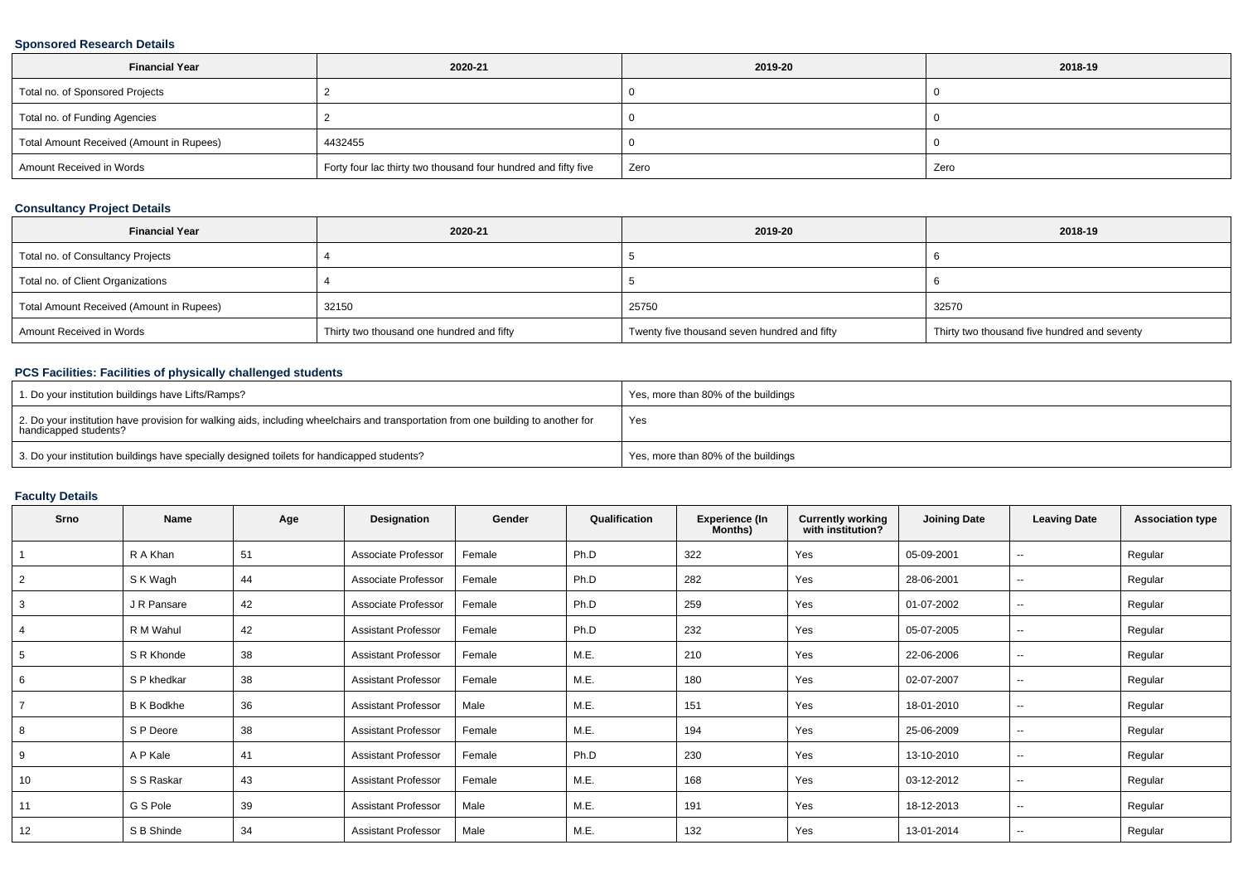## **Sponsored Research Details**

| <b>Financial Year</b>                    | 2020-21                                                        | 2019-20 | 2018-19 |
|------------------------------------------|----------------------------------------------------------------|---------|---------|
| Total no. of Sponsored Projects          |                                                                |         |         |
| Total no. of Funding Agencies            |                                                                |         |         |
| Total Amount Received (Amount in Rupees) | 4432455                                                        |         |         |
| Amount Received in Words                 | Forty four lac thirty two thousand four hundred and fifty five | Zero    | Zero    |

## **Consultancy Project Details**

| <b>Financial Year</b>                    | 2020-21                                   | 2019-20                                      | 2018-19                                      |
|------------------------------------------|-------------------------------------------|----------------------------------------------|----------------------------------------------|
| Total no. of Consultancy Projects        |                                           |                                              |                                              |
| Total no. of Client Organizations        |                                           |                                              |                                              |
| Total Amount Received (Amount in Rupees) | 32150                                     | 25750                                        | 32570                                        |
| Amount Received in Words                 | Thirty two thousand one hundred and fifty | Twenty five thousand seven hundred and fifty | Thirty two thousand five hundred and seventy |

## **PCS Facilities: Facilities of physically challenged students**

| 1. Do your institution buildings have Lifts/Ramps?                                                                                                         | Yes, more than 80% of the buildings |
|------------------------------------------------------------------------------------------------------------------------------------------------------------|-------------------------------------|
| 2. Do your institution have provision for walking aids, including wheelchairs and transportation from one building to another for<br>handicapped students? | Yes                                 |
| 3. Do your institution buildings have specially designed toilets for handicapped students?                                                                 | Yes, more than 80% of the buildings |

## **Faculty Details**

| Srno           | Name              | Age | Designation                | Gender | Qualification | <b>Experience (In</b><br>Months) | <b>Currently working</b><br>with institution? | <b>Joining Date</b> | <b>Leaving Date</b> | <b>Association type</b> |
|----------------|-------------------|-----|----------------------------|--------|---------------|----------------------------------|-----------------------------------------------|---------------------|---------------------|-------------------------|
|                | R A Khan          | 51  | Associate Professor        | Female | Ph.D          | 322                              | Yes                                           | 05-09-2001          | --                  | Regular                 |
| $\overline{2}$ | S K Wagh          | 44  | Associate Professor        | Female | Ph.D          | 282                              | Yes                                           | 28-06-2001          | --                  | Regular                 |
| 3              | J R Pansare       | 42  | Associate Professor        | Female | Ph.D          | 259                              | Yes                                           | 01-07-2002          | --                  | Regular                 |
|                | R M Wahul         | 42  | <b>Assistant Professor</b> | Female | Ph.D          | 232                              | Yes                                           | 05-07-2005          | --                  | Regular                 |
|                | S R Khonde        | 38  | <b>Assistant Professor</b> | Female | M.E.          | 210                              | Yes                                           | 22-06-2006          | $\sim$              | Regular                 |
| 6              | S P khedkar       | 38  | <b>Assistant Professor</b> | Female | M.E.          | 180                              | Yes                                           | 02-07-2007          | $\sim$              | Regular                 |
|                | <b>B K Bodkhe</b> | 36  | <b>Assistant Professor</b> | Male   | M.E.          | 151                              | Yes                                           | 18-01-2010          | --                  | Regular                 |
| 8              | S P Deore         | 38  | <b>Assistant Professor</b> | Female | M.E.          | 194                              | Yes                                           | 25-06-2009          | --                  | Regular                 |
| 9              | A P Kale          | 41  | <b>Assistant Professor</b> | Female | Ph.D          | 230                              | Yes                                           | 13-10-2010          | $\sim$              | Regular                 |
| 10             | S S Raskar        | 43  | <b>Assistant Professor</b> | Female | M.E.          | 168                              | Yes                                           | 03-12-2012          | н.                  | Regular                 |
| 11             | G S Pole          | 39  | <b>Assistant Professor</b> | Male   | M.E.          | 191                              | Yes                                           | 18-12-2013          | $\sim$              | Regular                 |
| 12             | S B Shinde        | 34  | <b>Assistant Professor</b> | Male   | M.E.          | 132                              | Yes                                           | 13-01-2014          | --                  | Regular                 |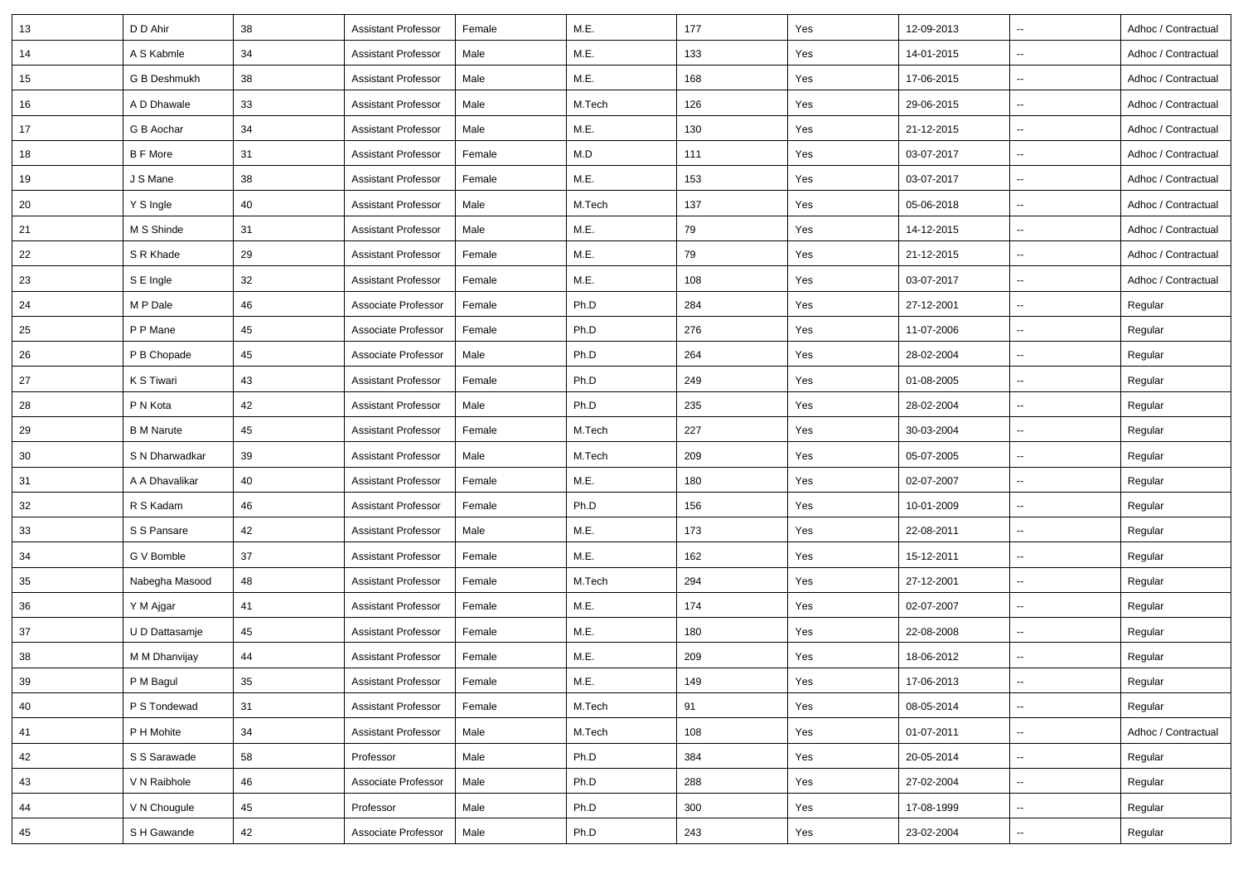| 13 | D D Ahir          | 38 | <b>Assistant Professor</b> | Female | M.E.   | 177 | Yes | 12-09-2013 | $\overline{\phantom{a}}$ | Adhoc / Contractual |
|----|-------------------|----|----------------------------|--------|--------|-----|-----|------------|--------------------------|---------------------|
| 14 | A S Kabmle        | 34 | Assistant Professor        | Male   | M.E.   | 133 | Yes | 14-01-2015 | $\sim$                   | Adhoc / Contractual |
| 15 | G B Deshmukh      | 38 | Assistant Professor        | Male   | M.E.   | 168 | Yes | 17-06-2015 | $\sim$                   | Adhoc / Contractual |
| 16 | A D Dhawale       | 33 | <b>Assistant Professor</b> | Male   | M.Tech | 126 | Yes | 29-06-2015 | $\overline{\phantom{a}}$ | Adhoc / Contractual |
| 17 | G B Aochar        | 34 | <b>Assistant Professor</b> | Male   | M.E.   | 130 | Yes | 21-12-2015 | $\sim$                   | Adhoc / Contractual |
| 18 | <b>B F More</b>   | 31 | Assistant Professor        | Female | M.D    | 111 | Yes | 03-07-2017 | $\overline{\phantom{a}}$ | Adhoc / Contractual |
| 19 | J S Mane          | 38 | <b>Assistant Professor</b> | Female | M.E.   | 153 | Yes | 03-07-2017 | $\ddotsc$                | Adhoc / Contractual |
| 20 | Y S Ingle         | 40 | <b>Assistant Professor</b> | Male   | M.Tech | 137 | Yes | 05-06-2018 | $\sim$                   | Adhoc / Contractual |
| 21 | M S Shinde        | 31 | <b>Assistant Professor</b> | Male   | M.E.   | 79  | Yes | 14-12-2015 | $\overline{\phantom{a}}$ | Adhoc / Contractual |
| 22 | S R Khade         | 29 | Assistant Professor        | Female | M.E.   | 79  | Yes | 21-12-2015 | $\overline{\phantom{a}}$ | Adhoc / Contractual |
| 23 | S E Ingle         | 32 | Assistant Professor        | Female | M.E.   | 108 | Yes | 03-07-2017 | $\overline{\phantom{a}}$ | Adhoc / Contractual |
| 24 | M P Dale          | 46 | Associate Professor        | Female | Ph.D   | 284 | Yes | 27-12-2001 | $\overline{\phantom{a}}$ | Regular             |
| 25 | P P Mane          | 45 | Associate Professor        | Female | Ph.D   | 276 | Yes | 11-07-2006 | $\overline{\phantom{a}}$ | Regular             |
| 26 | P B Chopade       | 45 | Associate Professor        | Male   | Ph.D   | 264 | Yes | 28-02-2004 | $\sim$                   | Regular             |
| 27 | K S Tiwari        | 43 | Assistant Professor        | Female | Ph.D   | 249 | Yes | 01-08-2005 | $\sim$                   | Regular             |
| 28 | P N Kota          | 42 | <b>Assistant Professor</b> | Male   | Ph.D   | 235 | Yes | 28-02-2004 | $\sim$                   | Regular             |
| 29 | <b>B</b> M Narute | 45 | Assistant Professor        | Female | M.Tech | 227 | Yes | 30-03-2004 | $\sim$                   | Regular             |
| 30 | S N Dharwadkar    | 39 | <b>Assistant Professor</b> | Male   | M.Tech | 209 | Yes | 05-07-2005 | $\overline{\phantom{a}}$ | Regular             |
| 31 | A A Dhavalikar    | 40 | Assistant Professor        | Female | M.E.   | 180 | Yes | 02-07-2007 | $\overline{\phantom{a}}$ | Regular             |
| 32 | R S Kadam         | 46 | Assistant Professor        | Female | Ph.D   | 156 | Yes | 10-01-2009 | $\sim$                   | Regular             |
| 33 | S S Pansare       | 42 | <b>Assistant Professor</b> | Male   | M.E.   | 173 | Yes | 22-08-2011 | $\sim$                   | Regular             |
| 34 | G V Bomble        | 37 | <b>Assistant Professor</b> | Female | M.E.   | 162 | Yes | 15-12-2011 | $\overline{\phantom{a}}$ | Regular             |
| 35 | Nabegha Masood    | 48 | <b>Assistant Professor</b> | Female | M.Tech | 294 | Yes | 27-12-2001 | $\sim$                   | Regular             |
| 36 | Y M Ajgar         | 41 | Assistant Professor        | Female | M.E.   | 174 | Yes | 02-07-2007 | $\sim$                   | Regular             |
| 37 | U D Dattasamje    | 45 | <b>Assistant Professor</b> | Female | M.E.   | 180 | Yes | 22-08-2008 | $\overline{\phantom{a}}$ | Regular             |
| 38 | M M Dhanvijay     | 44 | Assistant Professor        | Female | M.E.   | 209 | Yes | 18-06-2012 | $\sim$                   | Regular             |
| 39 | P M Bagul         | 35 | <b>Assistant Professor</b> | Female | M.E.   | 149 | Yes | 17-06-2013 | $\sim$                   | Regular             |
| 40 | P S Tondewad      | 31 | <b>Assistant Professor</b> | Female | M.Tech | 91  | Yes | 08-05-2014 | $\overline{\phantom{a}}$ | Regular             |
| 41 | P H Mohite        | 34 | <b>Assistant Professor</b> | Male   | M.Tech | 108 | Yes | 01-07-2011 | $\sim$                   | Adhoc / Contractual |
| 42 | S S Sarawade      | 58 | Professor                  | Male   | Ph.D   | 384 | Yes | 20-05-2014 | $\sim$                   | Regular             |
| 43 | V N Raibhole      | 46 | Associate Professor        | Male   | Ph.D   | 288 | Yes | 27-02-2004 | $\sim$                   | Regular             |
| 44 | V N Chougule      | 45 | Professor                  | Male   | Ph.D   | 300 | Yes | 17-08-1999 | $\sim$                   | Regular             |
| 45 | S H Gawande       | 42 | Associate Professor        | Male   | Ph.D   | 243 | Yes | 23-02-2004 | $\sim$                   | Regular             |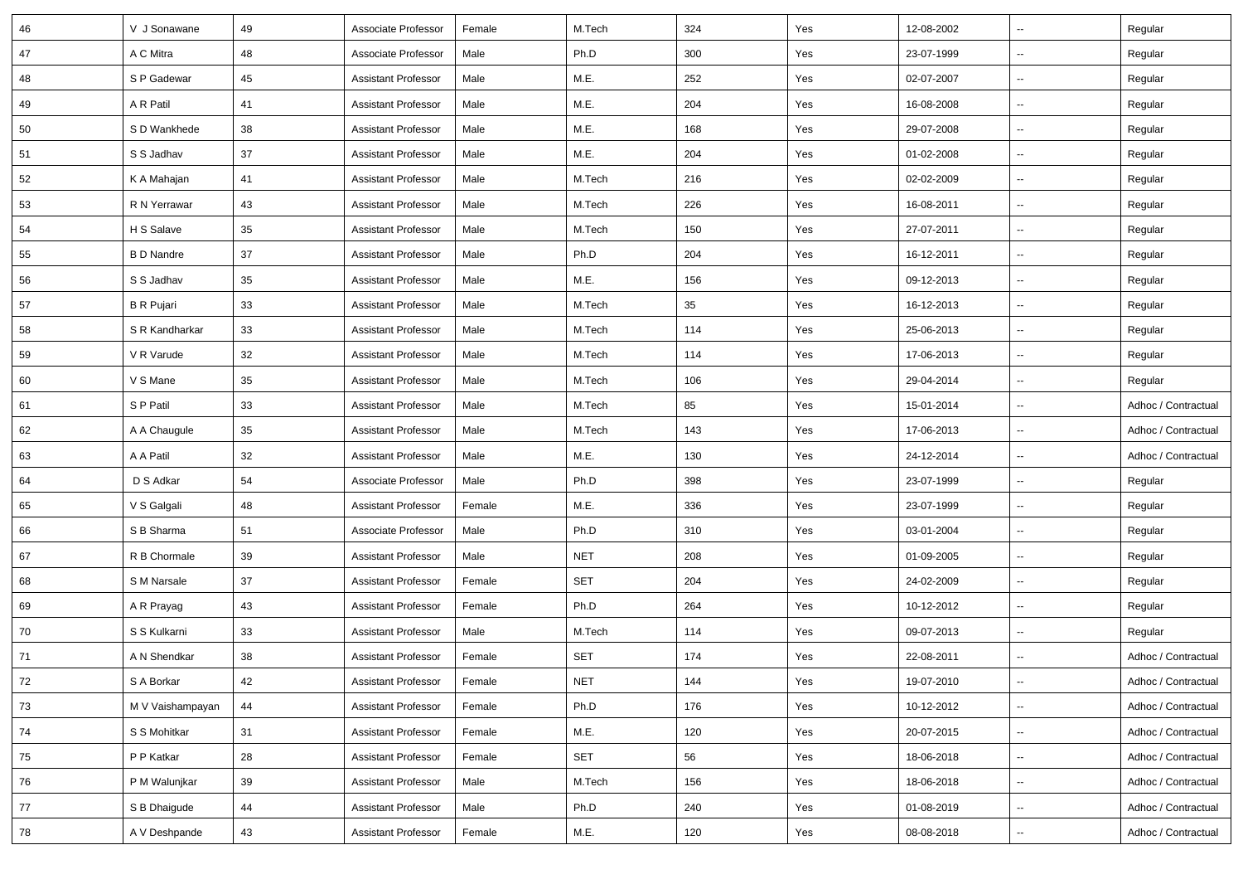| 46 | V J Sonawane      | 49 | Associate Professor        | Female | M.Tech     | 324 | Yes | 12-08-2002 | $\overline{\phantom{a}}$ | Regular             |
|----|-------------------|----|----------------------------|--------|------------|-----|-----|------------|--------------------------|---------------------|
| 47 | A C Mitra         | 48 | Associate Professor        | Male   | Ph.D       | 300 | Yes | 23-07-1999 | Ξ.                       | Regular             |
| 48 | S P Gadewar       | 45 | <b>Assistant Professor</b> | Male   | M.E.       | 252 | Yes | 02-07-2007 | Ξ.                       | Regular             |
| 49 | A R Patil         | 41 | <b>Assistant Professor</b> | Male   | M.E.       | 204 | Yes | 16-08-2008 | --                       | Regular             |
| 50 | S D Wankhede      | 38 | <b>Assistant Professor</b> | Male   | M.E.       | 168 | Yes | 29-07-2008 | --                       | Regular             |
| 51 | S S Jadhav        | 37 | <b>Assistant Professor</b> | Male   | M.E.       | 204 | Yes | 01-02-2008 | $\overline{\phantom{a}}$ | Regular             |
| 52 | K A Mahajan       | 41 | <b>Assistant Professor</b> | Male   | M.Tech     | 216 | Yes | 02-02-2009 | Ξ.                       | Regular             |
| 53 | R N Yerrawar      | 43 | <b>Assistant Professor</b> | Male   | M.Tech     | 226 | Yes | 16-08-2011 | --                       | Regular             |
| 54 | H S Salave        | 35 | <b>Assistant Professor</b> | Male   | M.Tech     | 150 | Yes | 27-07-2011 | Ξ.                       | Regular             |
| 55 | <b>B D Nandre</b> | 37 | <b>Assistant Professor</b> | Male   | Ph.D       | 204 | Yes | 16-12-2011 | --                       | Regular             |
| 56 | S S Jadhav        | 35 | <b>Assistant Professor</b> | Male   | M.E.       | 156 | Yes | 09-12-2013 | --                       | Regular             |
| 57 | <b>B</b> R Pujari | 33 | <b>Assistant Professor</b> | Male   | M.Tech     | 35  | Yes | 16-12-2013 | Ξ.                       | Regular             |
| 58 | S R Kandharkar    | 33 | <b>Assistant Professor</b> | Male   | M.Tech     | 114 | Yes | 25-06-2013 | u.                       | Regular             |
| 59 | V R Varude        | 32 | <b>Assistant Professor</b> | Male   | M.Tech     | 114 | Yes | 17-06-2013 | --                       | Regular             |
| 60 | V S Mane          | 35 | Assistant Professor        | Male   | M.Tech     | 106 | Yes | 29-04-2014 | Ξ.                       | Regular             |
| 61 | S P Patil         | 33 | <b>Assistant Professor</b> | Male   | M.Tech     | 85  | Yes | 15-01-2014 | --                       | Adhoc / Contractual |
| 62 | A A Chaugule      | 35 | <b>Assistant Professor</b> | Male   | M.Tech     | 143 | Yes | 17-06-2013 | --                       | Adhoc / Contractual |
| 63 | A A Patil         | 32 | <b>Assistant Professor</b> | Male   | M.E.       | 130 | Yes | 24-12-2014 | Ξ.                       | Adhoc / Contractual |
| 64 | D S Adkar         | 54 | Associate Professor        | Male   | Ph.D       | 398 | Yes | 23-07-1999 | Ξ.                       | Regular             |
| 65 | V S Galgali       | 48 | <b>Assistant Professor</b> | Female | M.E.       | 336 | Yes | 23-07-1999 | --                       | Regular             |
| 66 | S B Sharma        | 51 | Associate Professor        | Male   | Ph.D       | 310 | Yes | 03-01-2004 | Ξ.                       | Regular             |
| 67 | R B Chormale      | 39 | <b>Assistant Professor</b> | Male   | <b>NET</b> | 208 | Yes | 01-09-2005 | $\overline{a}$           | Regular             |
| 68 | S M Narsale       | 37 | <b>Assistant Professor</b> | Female | <b>SET</b> | 204 | Yes | 24-02-2009 | --                       | Regular             |
| 69 | A R Prayag        | 43 | <b>Assistant Professor</b> | Female | Ph.D       | 264 | Yes | 10-12-2012 | Ξ.                       | Regular             |
| 70 | S S Kulkarni      | 33 | <b>Assistant Professor</b> | Male   | M.Tech     | 114 | Yes | 09-07-2013 | Ξ.                       | Regular             |
| 71 | A N Shendkar      | 38 | <b>Assistant Professor</b> | Female | SET        | 174 | Yes | 22-08-2011 | --                       | Adhoc / Contractual |
| 72 | S A Borkar        | 42 | <b>Assistant Professor</b> | Female | <b>NET</b> | 144 | Yes | 19-07-2010 | $\overline{\phantom{a}}$ | Adhoc / Contractual |
| 73 | M V Vaishampayan  | 44 | <b>Assistant Professor</b> | Female | Ph.D       | 176 | Yes | 10-12-2012 | Ξ.                       | Adhoc / Contractual |
| 74 | S S Mohitkar      | 31 | <b>Assistant Professor</b> | Female | M.E.       | 120 | Yes | 20-07-2015 | Ξ.                       | Adhoc / Contractual |
| 75 | P P Katkar        | 28 | <b>Assistant Professor</b> | Female | SET        | 56  | Yes | 18-06-2018 | Ξ.                       | Adhoc / Contractual |
| 76 | P M Walunjkar     | 39 | Assistant Professor        | Male   | M.Tech     | 156 | Yes | 18-06-2018 | Ξ.                       | Adhoc / Contractual |
| 77 | S B Dhaigude      | 44 | <b>Assistant Professor</b> | Male   | Ph.D       | 240 | Yes | 01-08-2019 | Ξ.                       | Adhoc / Contractual |
| 78 | A V Deshpande     | 43 | <b>Assistant Professor</b> | Female | M.E.       | 120 | Yes | 08-08-2018 | --                       | Adhoc / Contractual |